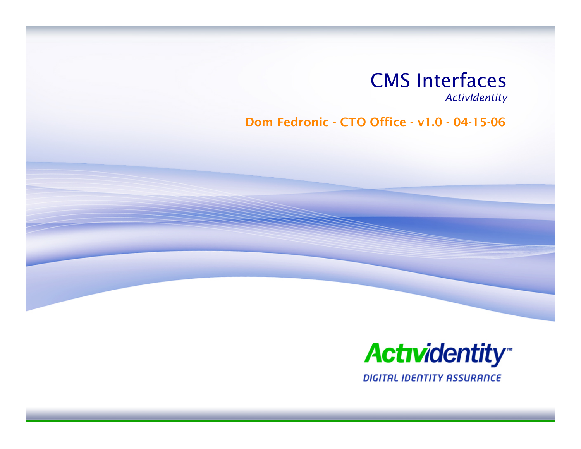

*ActivIdentit y*

Dom Fedronic -CTO Office -v1.0 - 04-15-06



**DIGITAL IDENTITY ASSURANCE**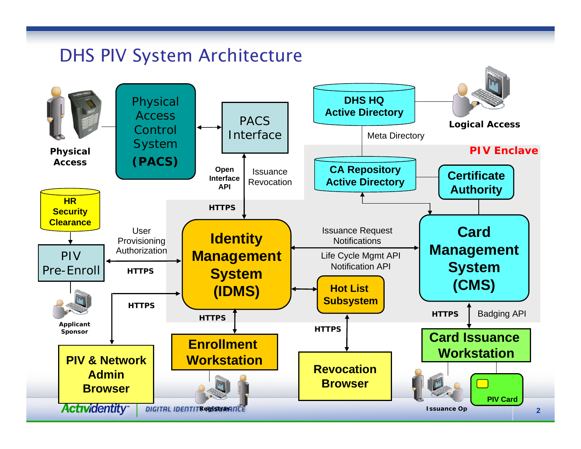## DHS PIV System Architecture

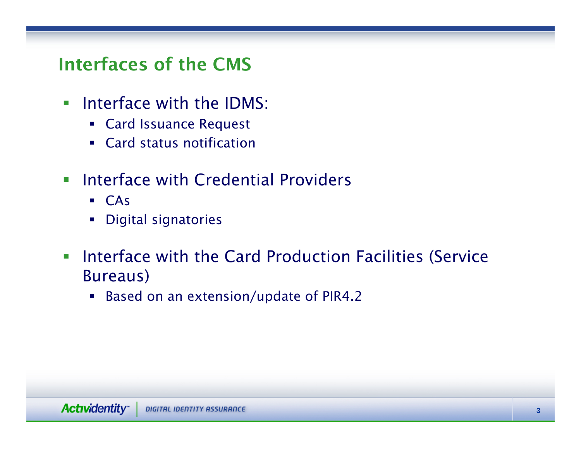## Interfaces of the CMS

- **Interface with the IDMS:** 
	- Card Issuance Request
	- Card status notification
- $\overline{\phantom{a}}$  Interface with Credential Providers
	- CAs
	- Digital signatories
- $\overline{\mathcal{L}}$  Interface with the Card Production Facilities (Service Bureaus)
	- Based on an extension/update of PIR4.2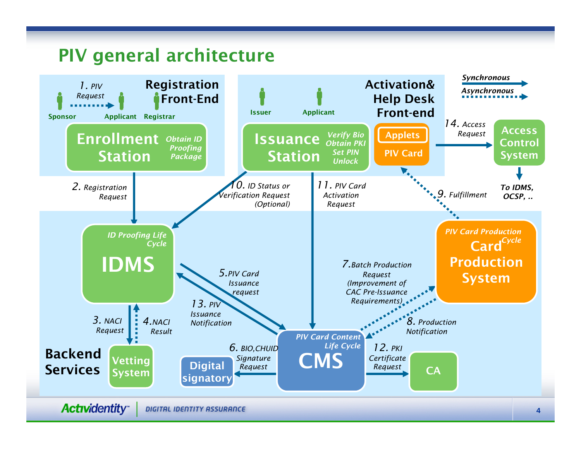# PIV general architecture

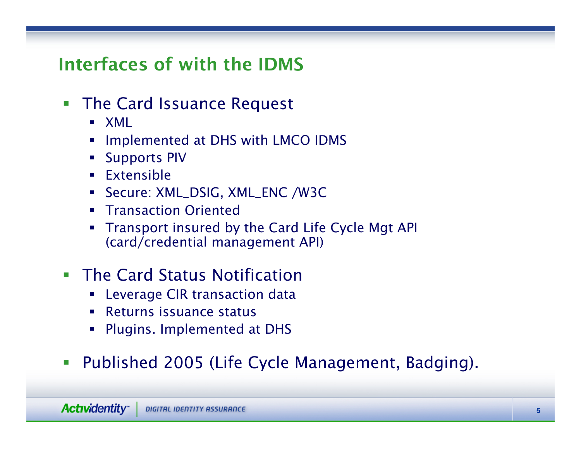## Interfaces of with the IDMS

- $\mathcal{L}_{\mathcal{A}}$  The Card Issuance Request
	- XML
	- Implemented at DHS with LMCO IDMS
	- **Supports PIV**
	- Extensible
	- Secure: XML\_DSIG, XML\_ENC /W3C
	- **Transaction Oriented**
	- П Transport insured by the Card Life Cycle Mgt API (card/credential management API)
- **The Card Status Notification** 
	- **EXECTE:** Leverage CIR transaction data
	- Returns issuance status
	- Plugins. Implemented at DHS
- $\overline{\mathcal{M}}$ Published 2005 (Life Cycle Management, Badging).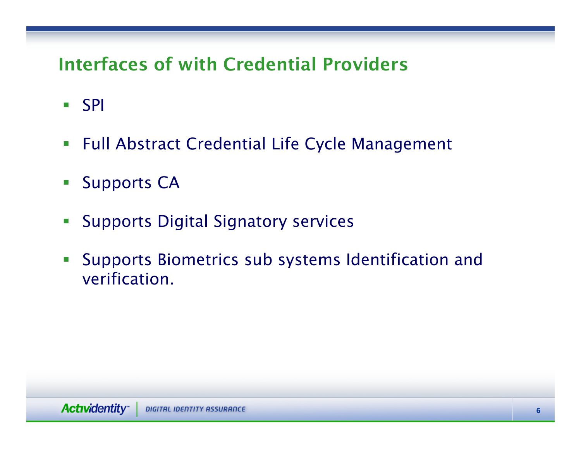# Interfaces of with Credential Providers

- SPI
- Full Abstract Credential Life Cycle Management
- $\overline{\mathcal{M}}$ Supports CA
- $\mathbb{R}^n$ Supports Digital Signatory services
- $\mathcal{L}_{\mathcal{A}}$  Supports Biometrics sub systems Identification and verification.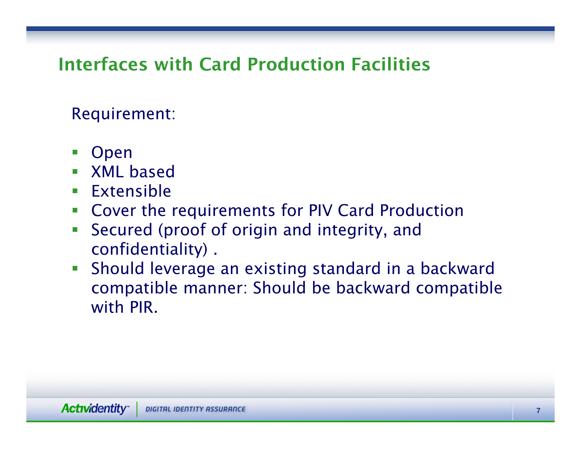# Interfaces with Card Production Facilities

Requirement:

- Open
- **NAL based**
- **Extensible**
- $\overline{\mathbb{R}^n}$ Cover the requirements for PIV Card Production
- $\overline{\mathbb{Z}}$  Secured (proof of origin and integrity, and confidentiality) .
- $\mathcal{L}_{\mathcal{A}}$  Should leverage an existing standard in a backward compatible manner: Should be backward compatible with PIR.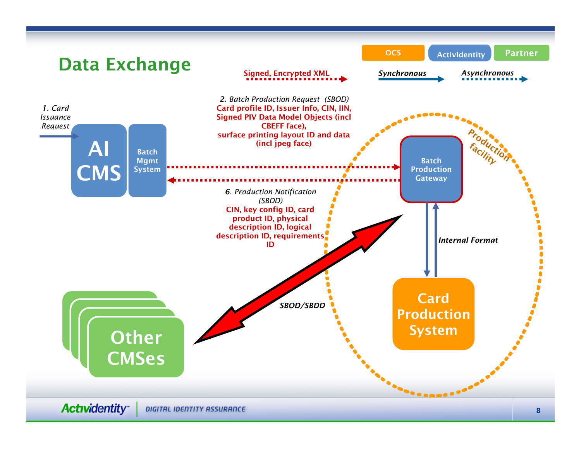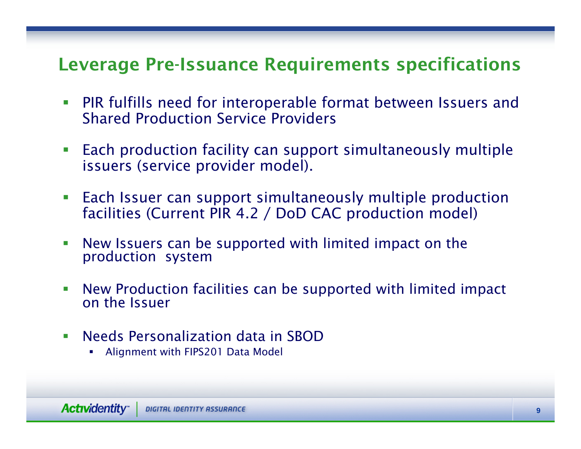#### Leverage Pre-Issuance Requirements specifications

- $\mathcal{L}_{\mathcal{A}}$  PIR fulfills need for interoperable format between Issuers and Shared Production Service Providers
- $\mathcal{L}_{\mathcal{A}}$  Each production facility can support simultaneously multiple issuers (service provider model).
- **Each Issuer can support simultaneously multiple production** facilities (Current PIR 4.2 / DoD CAC production model)
- $\mathcal{L}_{\mathcal{A}}$ New Issuers can be supported with limited impact on the production system
- $\mathcal{L}_{\mathcal{A}}$ New Production facilities can be supported with limited impact on the Issuer
- $\mathcal{L}_{\mathcal{A}}$  Needs Personalization data in SBOD
	- L **• Alignment with FIPS201 Data Model**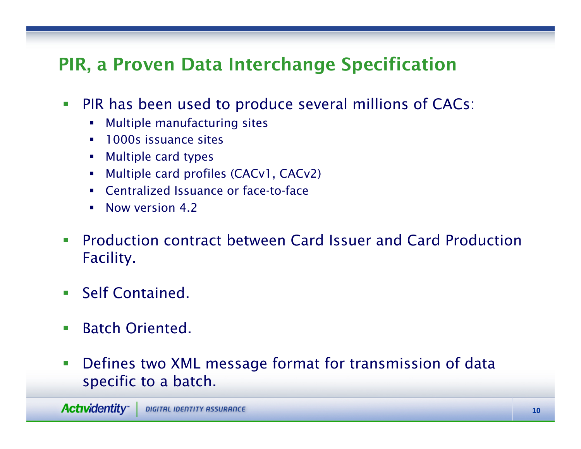# PIR, a Proven Data Interchange Specification

- $\mathcal{L}_{\mathcal{A}}$  PIR has been used to produce several millions of CACs:
	- Multiple manufacturing sites
	- 1000s issuance sites
	- $\mathcal{L}_{\rm{max}}$ Multiple c ard types
	- $\blacksquare$ ■ Multiple card profiles (CACv1, CACv2)
	- Centralized Issuance or face-to-face
	- **Now version 4.2**
- $\mathcal{L}_{\mathcal{A}}$ **• Production contract between Card Issuer and Card Production** Facility.
- **Self Contained.**
- $\mathcal{L}_{\mathcal{A}}$ **Batch Oriented.**
- $\mathcal{L}_{\mathcal{A}}$  Defines two XML message format for transmission of data specific to a batch.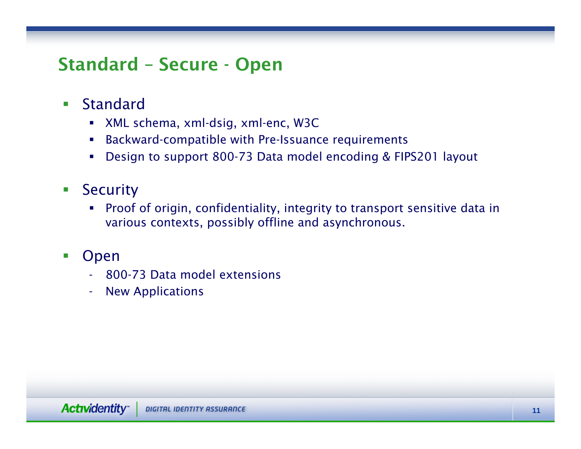#### Standard – Secure - Open

- $\Box$  Standard
	- XML schema, xml-dsig, xml-enc, W3C
	- Backward-compatible with Pre-Issuance requirements
	- Design to support 800-73 Data model encoding & FIPS201 layout
- $\mathcal{L}_{\mathcal{A}}$ **Security** 
	- Proof of origin, confidentiality, integrity to transport sensitive data in various contexts, possibly offline and asynchronous.
- $\mathcal{L}_{\mathcal{A}}$  Open
	- 800-73 Data model extensions
	- New Applications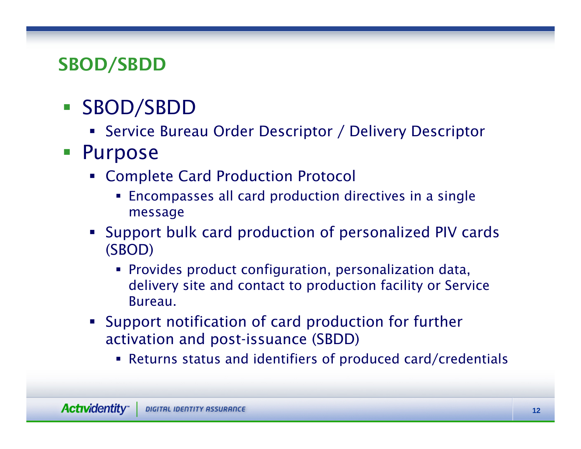## SBOD/SBDD

# SBOD/SBDD

- Service Bureau Order Descriptor / Delivery Descriptor
- **Purpose** 
	- Complete Card Production Protocol
		- **Encompasses all card production directives in a single** message
	- Support bulk card production of personalized PIV cards (SBOD)
		- Provides product configuration, personalization data, delivery site and contact to production facility or Service **Bureau**
	- Support notification of card production for further activation and post-issuance (SBDD)
		- Returns status and identifiers of produced card/credentials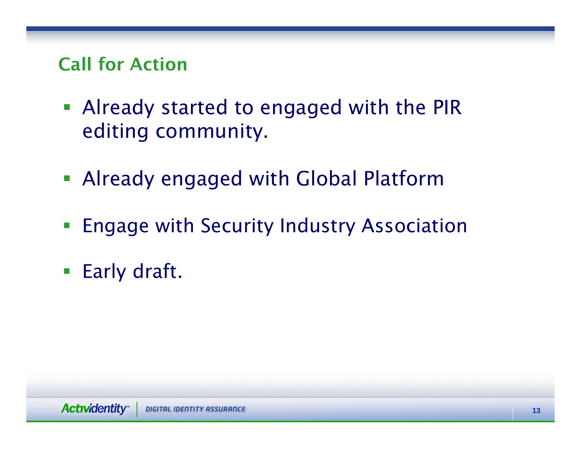## Call for Action

- Already started to engaged with the PIR editing community.
- Already engaged with Global Platform
- $\mathcal{L}_{\mathcal{A}}$ Engage with Security Industry Association
- **Early draft.**